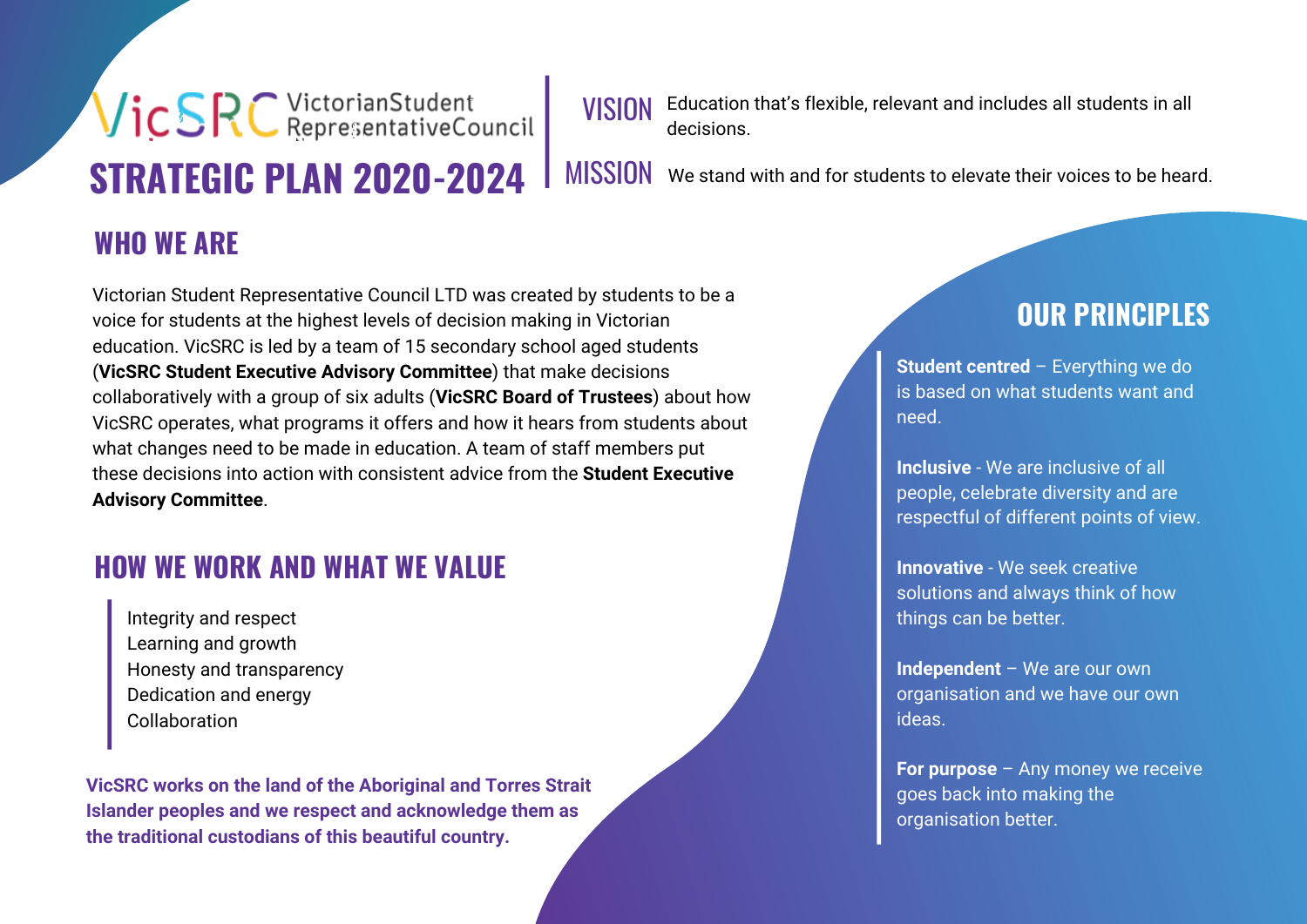# Vic SRC VictorianStudent **STRATEGIC PLAN 2020-2024**

VISION Education that's flexible, relevant and includes all students in all decisions.

MISSION We stand with and for students to elevate their voices to be heard.

# **WHO WE ARE**

Victorian Student Representative Council LTD was created by students to be a voice for students at the highest levels of decision making in Victorian education. VicSRC is led by a team of 15 secondary school aged students (**VicSRC Student Executive Advisory Committee**) that make decisions collaboratively with a group of six adults (**VicSRC Board of Trustees**) about how VicSRC operates, what programs it offers and how it hears from students about what changes need to be made in education. A team of staff members put these decisions into action with consistent advice from the **Student Executive Advisory Committee**.

# **HOW WE WORK AND WHAT WE VALUE**

Integrity and respect Learning and growth Honesty and transparency Dedication and energy Collaboration

**VicSRC works on the land of the Aboriginal and Torres Strait Islander peoples and we respect and acknowledge them as the traditional custodians of this beautiful country.**

# **OUR PRINCIPLES**

**Student centred** – Everything we do is based on what students want and need.

**Inclusive** - We are inclusive of all people, celebrate diversity and are respectful of different points of view.

**Innovative** - We seek creative solutions and always think of how things can be better.

**Independent** – We are our own organisation and we have our own ideas.

**For purpose** – Any money we receive goes back into making the organisation better.